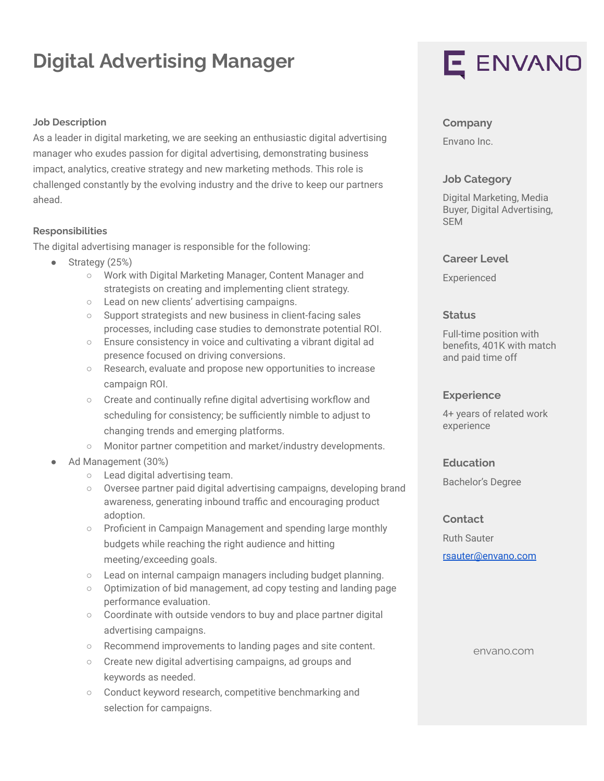# **Digital Advertising Manager**

#### **Job Description**

As a leader in digital marketing, we are seeking an enthusiastic digital advertising manager who exudes passion for digital advertising, demonstrating business impact, analytics, creative strategy and new marketing methods. This role is challenged constantly by the evolving industry and the drive to keep our partners ahead.

#### **Responsibilities**

The digital advertising manager is responsible for the following:

- Strategy (25%)
	- Work with Digital Marketing Manager, Content Manager and strategists on creating and implementing client strategy.
	- Lead on new clients' advertising campaigns.
	- Support strategists and new business in client-facing sales processes, including case studies to demonstrate potential ROI.
	- Ensure consistency in voice and cultivating a vibrant digital ad presence focused on driving conversions.
	- Research, evaluate and propose new opportunities to increase campaign ROI.
	- Create and continually refine digital advertising workflow and scheduling for consistency; be sufficiently nimble to adjust to changing trends and emerging platforms.
	- Monitor partner competition and market/industry developments.
- Ad Management (30%)
	- Lead digital advertising team.
	- Oversee partner paid digital advertising campaigns, developing brand awareness, generating inbound traffic and encouraging product adoption.
	- Proficient in Campaign Management and spending large monthly budgets while reaching the right audience and hitting meeting/exceeding goals.
	- Lead on internal campaign managers including budget planning.
	- Optimization of bid management, ad copy testing and landing page performance evaluation.
	- Coordinate with outside vendors to buy and place partner digital advertising campaigns.
	- Recommend improvements to landing pages and site content.
	- Create new digital advertising campaigns, ad groups and keywords as needed.
	- Conduct keyword research, competitive benchmarking and selection for campaigns.

# E ENVANO

#### **Company**

Envano Inc.

#### **Job Category**

Digital Marketing, Media Buyer, Digital Advertising, SEM

#### **Career Level**

Experienced

#### **Status**

Full-time position with benefits, 401K with match and paid time off

#### **Experience**

4+ years of related work experience

### **Education**

Bachelor's Degree

#### **Contact**

Ruth Sauter [rsauter@envano.com](mailto:rsauter@envano.com)

envano.com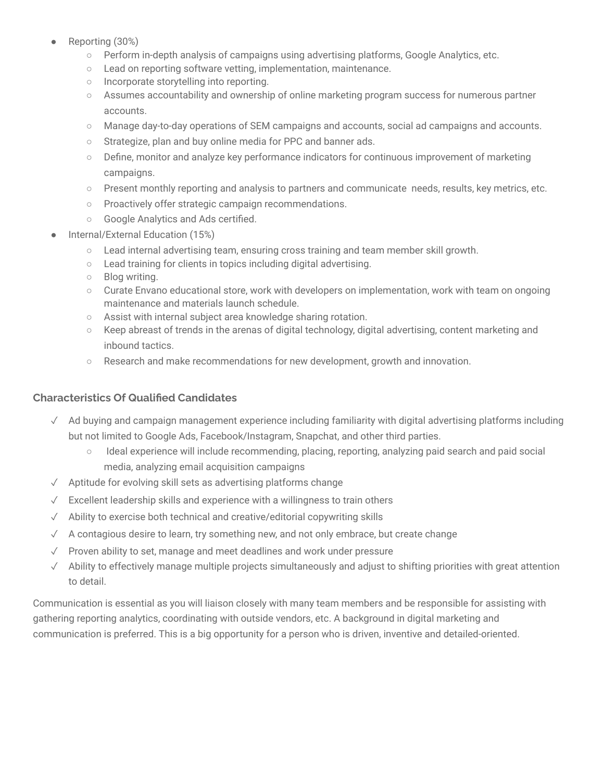- Reporting (30%)
	- Perform in-depth analysis of campaigns using advertising platforms, Google Analytics, etc.
	- Lead on reporting software vetting, implementation, maintenance.
	- Incorporate storytelling into reporting.
	- Assumes accountability and ownership of online marketing program success for numerous partner accounts.
	- Manage day-to-day operations of SEM campaigns and accounts, social ad campaigns and accounts.
	- o Strategize, plan and buy online media for PPC and banner ads.
	- Define, monitor and analyze key performance indicators for continuous improvement of marketing campaigns.
	- Present monthly reporting and analysis to partners and communicate needs, results, key metrics, etc.
	- Proactively offer strategic campaign recommendations.
	- Google Analytics and Ads certified.
- Internal/External Education (15%)
	- Lead internal advertising team, ensuring cross training and team member skill growth.
	- Lead training for clients in topics including digital advertising.
	- Blog writing.
	- Curate Envano educational store, work with developers on implementation, work with team on ongoing maintenance and materials launch schedule.
	- Assist with internal subject area knowledge sharing rotation.
	- Keep abreast of trends in the arenas of digital technology, digital advertising, content marketing and inbound tactics.
	- Research and make recommendations for new development, growth and innovation.

# **Characteristics Of Qualified Candidates**

- ✓ Ad buying and campaign management experience including familiarity with digital advertising platforms including but not limited to Google Ads, Facebook/Instagram, Snapchat, and other third parties.
	- Ideal experience will include recommending, placing, reporting, analyzing paid search and paid social media, analyzing email acquisition campaigns
- ✓ Aptitude for evolving skill sets as advertising platforms change
- ✓ Excellent leadership skills and experience with a willingness to train others
- ✓ Ability to exercise both technical and creative/editorial copywriting skills
- $\sqrt{\phantom{a}}$  A contagious desire to learn, try something new, and not only embrace, but create change
- ✓ Proven ability to set, manage and meet deadlines and work under pressure
- ✓ Ability to effectively manage multiple projects simultaneously and adjust to shifting priorities with great attention to detail.

Communication is essential as you will liaison closely with many team members and be responsible for assisting with gathering reporting analytics, coordinating with outside vendors, etc. A background in digital marketing and communication is preferred. This is a big opportunity for a person who is driven, inventive and detailed-oriented.